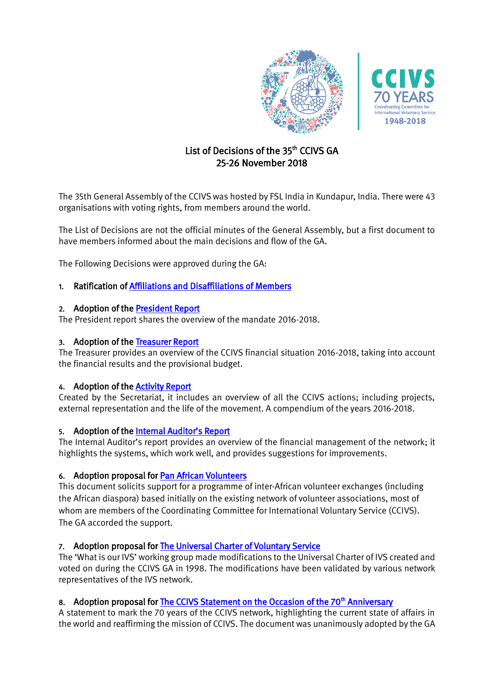



# List of Decisions of the 35<sup>th</sup> CCIVS GA 25-26 November 2018

The 35th General Assembly of the CCIVS was hosted by FSL India in Kundapur, India. There were 43 organisations with voting rights, from members around the world.

The List of Decisions are not the official minutes of the General Assembly, but a first document to have members informed about the main decisions and flow of the GA.

The Following Decisions were approved during the GA:

## 1. Ratification of [Affiliations and Disaffiliations of Members](https://www.dropbox.com/s/jb79l8mil7hjr26/1.AffiliationsandDisaffiliations20172018.pdf?dl=0)

## 2. Adoption of th[e President Report](https://www.dropbox.com/s/w15fvilwcuc9tn9/2.President%27s%20Report20172018.pdf?dl=0)

The President report shares the overview of the mandate 2016-2018.

## 3. Adoption of th[e Treasurer Report](https://www.dropbox.com/s/uy12oza9kqimmcq/3.Treasurer%27s%20Report20172018.pdf?dl=0)

The Treasurer provides an overview of the CCIVS financial situation 2016-2018, taking into account the financial results and the provisional budget.

## 4. Adoption of th[e Activity Report](https://www.dropbox.com/s/13jpcx7sjydzy3i/4.CCIVSActivityreport20172018.pdf?dl=0)

Created by the Secretariat, it includes an overview of all the CCIVS actions; including projects, external representation and the life of the movement. A compendium of the years 2016-2018.

### 5. Adoption of the [Internal Auditor's Report](https://www.dropbox.com/s/vfkn7063uav0ze6/5.InternalAuditAccounts2017_2018.pdf?dl=0)

The Internal Auditor's report provides an overview of the financial management of the network; it highlights the systems, which work well, and provides suggestions for improvements.

## 6. Adoption proposal for [Pan African Volunteers](https://www.dropbox.com/s/7pgwj3aetwmcj6d/6.PANAfricanVolunteers.pdf?dl=0)

This document solicits support for a programme of inter-African volunteer exchanges (including the African diaspora) based initially on the existing network of volunteer associations, most of whom are members of the Coordinating Committee for International Voluntary Service (CCIVS). The GA accorded the support.

## 7. Adoption proposal for [The Universal Charter of Voluntary Service](https://www.dropbox.com/s/8yhth76m1ts13pn/7.UniversalCharterIVS.pdf?dl=0)

The 'What is our IVS' working group made modifications to the Universal Charter of IVS created and voted on during the CCIVS GA in 1998. The modifications have been validated by various network representatives of the IVS network.

## 8. Adoption proposal for [The CCIVS Statement on the Occasion of the 70](https://www.dropbox.com/s/zk6aeftk4uhknxs/8.CCIVS70Statement.pdf?dl=0)<sup>th</sup> Anniversary

A statement to mark the 70 years of the CCIVS network, highlighting the current state of affairs in the world and reaffirming the mission of CCIVS. The document was unanimously adopted by the GA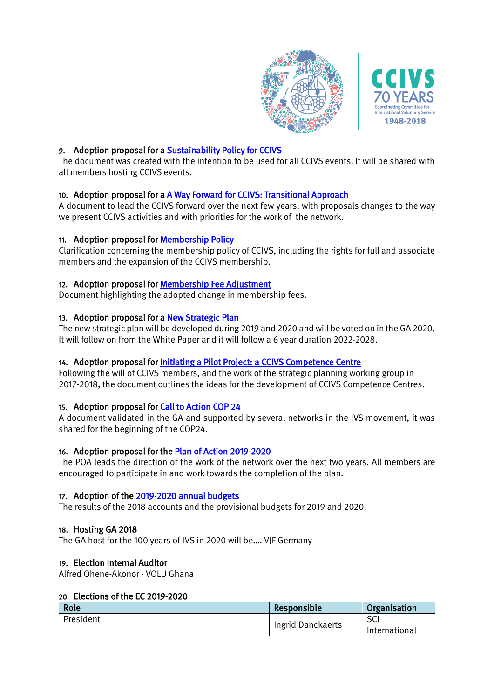

## 9. Adoption proposal for a [Sustainability Policy for CCIVS](https://www.dropbox.com/s/hy8fuzywthc3ies/9.SustainabilityPolicyCCIVS.pdf?dl=0)

The document was created with the intention to be used for all CCIVS events. It will be shared with all members hosting CCIVS events.

## 10. Adoption proposal for a [A Way Forward for CCIVS: Transitional Approach](https://www.dropbox.com/s/nx536mz7ie3n4py/10.%20AWayForwardforCCIVS.docx?dl=0)

A document to lead the CCIVS forward over the next few years, with proposals changes to the way we present CCIVS activities and with priorities for the work of the network.

## 11. Adoption proposal for [Membership Policy](https://www.dropbox.com/s/r9rs50fk61mau5b/11.MembershipPolicy_CCIVS.pdf?dl=0)

Clarification concerning the membership policy of CCIVS, including the rights for full and associate members and the expansion of the CCIVS membership.

## 12. Adoption proposal for [Membership Fee Adjustment](https://www.dropbox.com/s/psxgvojid80uth1/12.Membershipfeeadjustment.docx?dl=0)

Document highlighting the adopted change in membership fees.

### 13. Adoption proposal for a [New Strategic Plan](https://www.dropbox.com/s/i4pfigmvrhqbdmk/13.StrategicPlan2020-2026.pdf?dl=0)

The new strategic plan will be developed during 2019 and 2020 and will be voted on in the GA 2020. It will follow on from the White Paper and it will follow a 6 year duration 2022-2028.

### 14. Adoption proposal for [Initiating a Pilot Project: a CCIVS Competence Centre](https://www.dropbox.com/s/3t2sn84h8ehe2i4/14.CCIVSCompetenceCentre.docx.pdf?dl=0)

Following the will of CCIVS members, and the work of the strategic planning working group in 2017-2018, the document outlines the ideas for the development of CCIVS Competence Centres.

### 15. Adoption proposal for [Call to Action COP 24](https://www.dropbox.com/s/xhclz4yk8htgeur/15.CalltoActionCOP24.pdf?dl=0)

A document validated in the GA and supported by several networks in the IVS movement, it was shared for the beginning of the COP24.

### 16. Adoption proposal for [the](https://www.dropbox.com/s/paharq1yacswiq0/CCIVS%2034th%20GC%20%26%20GA%20Recommendations%20for%20EC%20composition.pdf?dl=0) [Plan of Action 2019-2020](https://docs.google.com/spreadsheets/d/1BRNKaZepYPYT8gYj3HJUPkPlI702aWEx7ZUzYJda2yI/edit?usp=sharing)

The POA leads the direction of the work of the network over the next two years. All members are encouraged to participate in and work towards the completion of the plan.

### 17. Adoption of th[e 2019-2020 annual budgets](https://www.dropbox.com/s/0gtbtrlhy36qlx4/17.2019-2020annualbudgets.pdf?dl=0)

The results of the 2018 accounts and the provisional budgets for 2019 and 2020.

### 18. Hosting GA 2018

The GA host for the 100 years of IVS in 2020 will be…. VJF Germany

### 19. Election Internal Auditor

Alfred Ohene-Akonor - VOLU Ghana

## 20. Elections of the EC 2019-2020

| Role      | Responsible       | Organisation  |
|-----------|-------------------|---------------|
| President | Ingrid Danckaerts | <b>SC</b>     |
|           |                   | International |